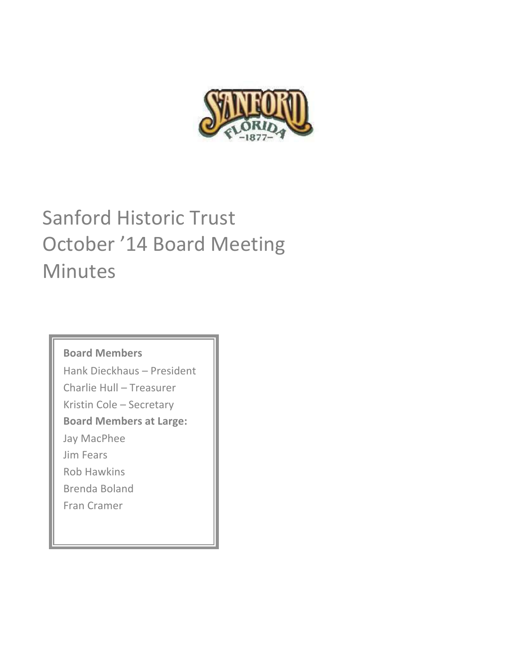

# Sanford Historic Trust October '14 Board Meeting Minutes

**Board Members**

Hank Dieckhaus - President Charlie Hull - Treasurer

Kristin Cole - Secretary

**Board Members at Large:**

Jay MacPhee

Jim Fears

Rob Hawkins

Brenda Boland

Fran Cramer